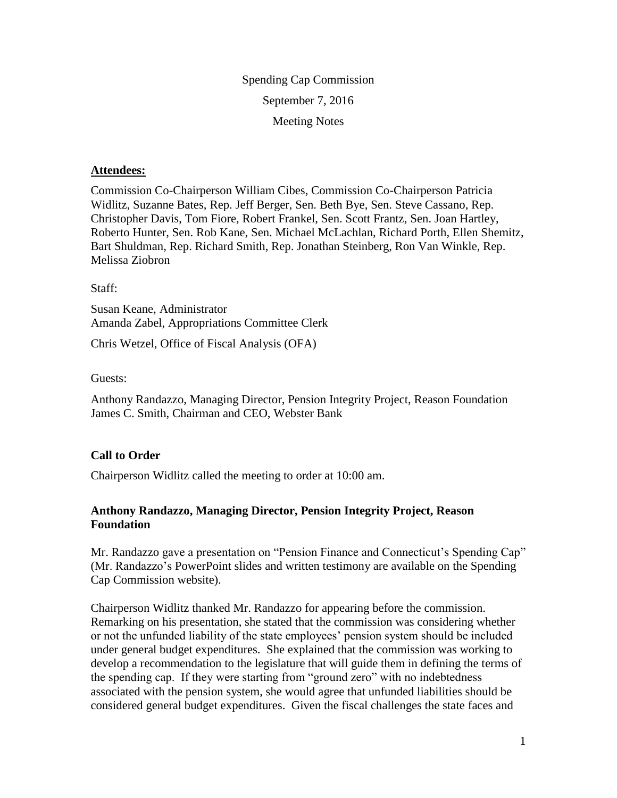Spending Cap Commission September 7, 2016 Meeting Notes

#### **Attendees:**

Commission Co-Chairperson William Cibes, Commission Co-Chairperson Patricia Widlitz, Suzanne Bates, Rep. Jeff Berger, Sen. Beth Bye, Sen. Steve Cassano, Rep. Christopher Davis, Tom Fiore, Robert Frankel, Sen. Scott Frantz, Sen. Joan Hartley, Roberto Hunter, Sen. Rob Kane, Sen. Michael McLachlan, Richard Porth, Ellen Shemitz, Bart Shuldman, Rep. Richard Smith, Rep. Jonathan Steinberg, Ron Van Winkle, Rep. Melissa Ziobron

Staff:

Susan Keane, Administrator Amanda Zabel, Appropriations Committee Clerk

Chris Wetzel, Office of Fiscal Analysis (OFA)

Guests:

Anthony Randazzo, Managing Director, Pension Integrity Project, Reason Foundation James C. Smith, Chairman and CEO, Webster Bank

#### **Call to Order**

Chairperson Widlitz called the meeting to order at 10:00 am.

# **Anthony Randazzo, Managing Director, Pension Integrity Project, Reason Foundation**

Mr. Randazzo gave a presentation on "Pension Finance and Connecticut's Spending Cap" (Mr. Randazzo's PowerPoint slides and written testimony are available on the Spending Cap Commission website).

Chairperson Widlitz thanked Mr. Randazzo for appearing before the commission. Remarking on his presentation, she stated that the commission was considering whether or not the unfunded liability of the state employees' pension system should be included under general budget expenditures. She explained that the commission was working to develop a recommendation to the legislature that will guide them in defining the terms of the spending cap. If they were starting from "ground zero" with no indebtedness associated with the pension system, she would agree that unfunded liabilities should be considered general budget expenditures. Given the fiscal challenges the state faces and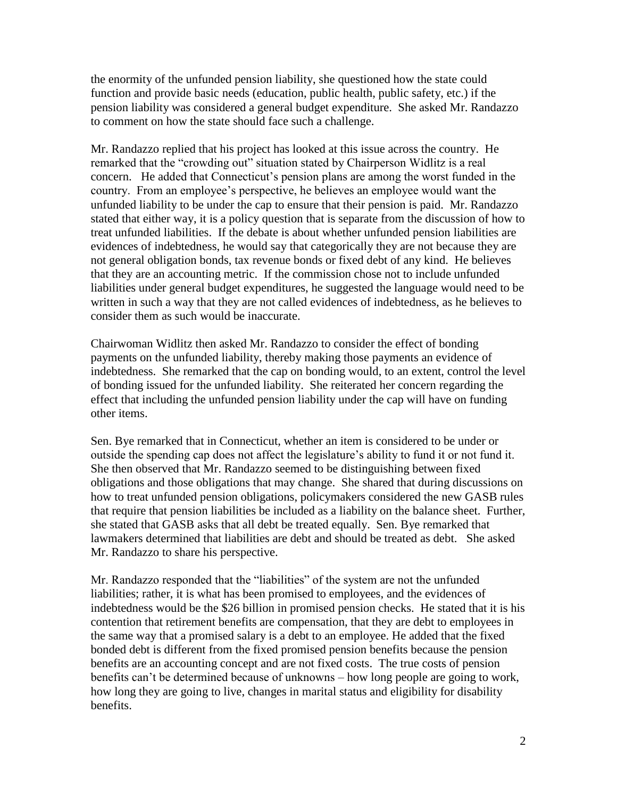the enormity of the unfunded pension liability, she questioned how the state could function and provide basic needs (education, public health, public safety, etc.) if the pension liability was considered a general budget expenditure. She asked Mr. Randazzo to comment on how the state should face such a challenge.

Mr. Randazzo replied that his project has looked at this issue across the country. He remarked that the "crowding out" situation stated by Chairperson Widlitz is a real concern. He added that Connecticut's pension plans are among the worst funded in the country. From an employee's perspective, he believes an employee would want the unfunded liability to be under the cap to ensure that their pension is paid. Mr. Randazzo stated that either way, it is a policy question that is separate from the discussion of how to treat unfunded liabilities. If the debate is about whether unfunded pension liabilities are evidences of indebtedness, he would say that categorically they are not because they are not general obligation bonds, tax revenue bonds or fixed debt of any kind. He believes that they are an accounting metric. If the commission chose not to include unfunded liabilities under general budget expenditures, he suggested the language would need to be written in such a way that they are not called evidences of indebtedness, as he believes to consider them as such would be inaccurate.

Chairwoman Widlitz then asked Mr. Randazzo to consider the effect of bonding payments on the unfunded liability, thereby making those payments an evidence of indebtedness. She remarked that the cap on bonding would, to an extent, control the level of bonding issued for the unfunded liability. She reiterated her concern regarding the effect that including the unfunded pension liability under the cap will have on funding other items.

Sen. Bye remarked that in Connecticut, whether an item is considered to be under or outside the spending cap does not affect the legislature's ability to fund it or not fund it. She then observed that Mr. Randazzo seemed to be distinguishing between fixed obligations and those obligations that may change. She shared that during discussions on how to treat unfunded pension obligations, policymakers considered the new GASB rules that require that pension liabilities be included as a liability on the balance sheet. Further, she stated that GASB asks that all debt be treated equally. Sen. Bye remarked that lawmakers determined that liabilities are debt and should be treated as debt. She asked Mr. Randazzo to share his perspective.

Mr. Randazzo responded that the "liabilities" of the system are not the unfunded liabilities; rather, it is what has been promised to employees, and the evidences of indebtedness would be the \$26 billion in promised pension checks. He stated that it is his contention that retirement benefits are compensation, that they are debt to employees in the same way that a promised salary is a debt to an employee. He added that the fixed bonded debt is different from the fixed promised pension benefits because the pension benefits are an accounting concept and are not fixed costs. The true costs of pension benefits can't be determined because of unknowns – how long people are going to work, how long they are going to live, changes in marital status and eligibility for disability benefits.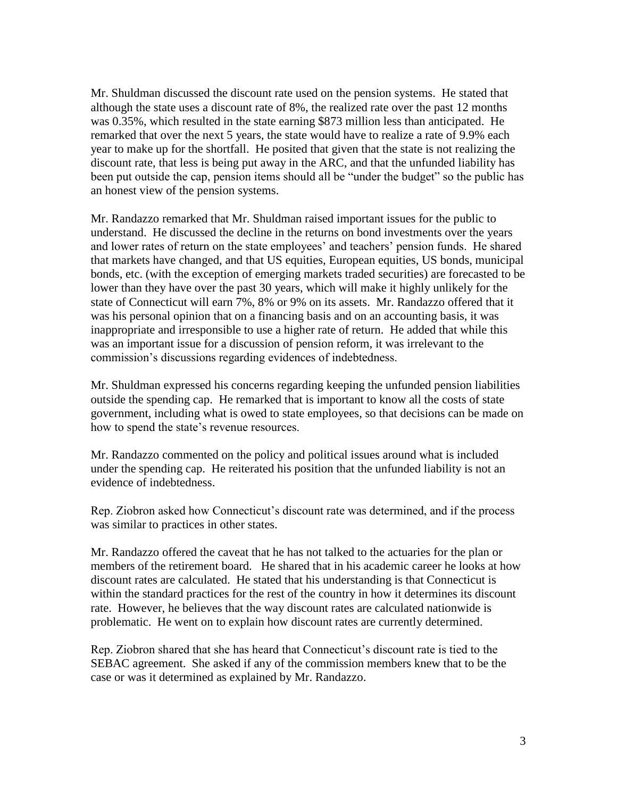Mr. Shuldman discussed the discount rate used on the pension systems. He stated that although the state uses a discount rate of 8%, the realized rate over the past 12 months was 0.35%, which resulted in the state earning \$873 million less than anticipated. He remarked that over the next 5 years, the state would have to realize a rate of 9.9% each year to make up for the shortfall. He posited that given that the state is not realizing the discount rate, that less is being put away in the ARC, and that the unfunded liability has been put outside the cap, pension items should all be "under the budget" so the public has an honest view of the pension systems.

Mr. Randazzo remarked that Mr. Shuldman raised important issues for the public to understand. He discussed the decline in the returns on bond investments over the years and lower rates of return on the state employees' and teachers' pension funds. He shared that markets have changed, and that US equities, European equities, US bonds, municipal bonds, etc. (with the exception of emerging markets traded securities) are forecasted to be lower than they have over the past 30 years, which will make it highly unlikely for the state of Connecticut will earn 7%, 8% or 9% on its assets. Mr. Randazzo offered that it was his personal opinion that on a financing basis and on an accounting basis, it was inappropriate and irresponsible to use a higher rate of return. He added that while this was an important issue for a discussion of pension reform, it was irrelevant to the commission's discussions regarding evidences of indebtedness.

Mr. Shuldman expressed his concerns regarding keeping the unfunded pension liabilities outside the spending cap. He remarked that is important to know all the costs of state government, including what is owed to state employees, so that decisions can be made on how to spend the state's revenue resources.

Mr. Randazzo commented on the policy and political issues around what is included under the spending cap. He reiterated his position that the unfunded liability is not an evidence of indebtedness.

Rep. Ziobron asked how Connecticut's discount rate was determined, and if the process was similar to practices in other states.

Mr. Randazzo offered the caveat that he has not talked to the actuaries for the plan or members of the retirement board. He shared that in his academic career he looks at how discount rates are calculated. He stated that his understanding is that Connecticut is within the standard practices for the rest of the country in how it determines its discount rate. However, he believes that the way discount rates are calculated nationwide is problematic. He went on to explain how discount rates are currently determined.

Rep. Ziobron shared that she has heard that Connecticut's discount rate is tied to the SEBAC agreement. She asked if any of the commission members knew that to be the case or was it determined as explained by Mr. Randazzo.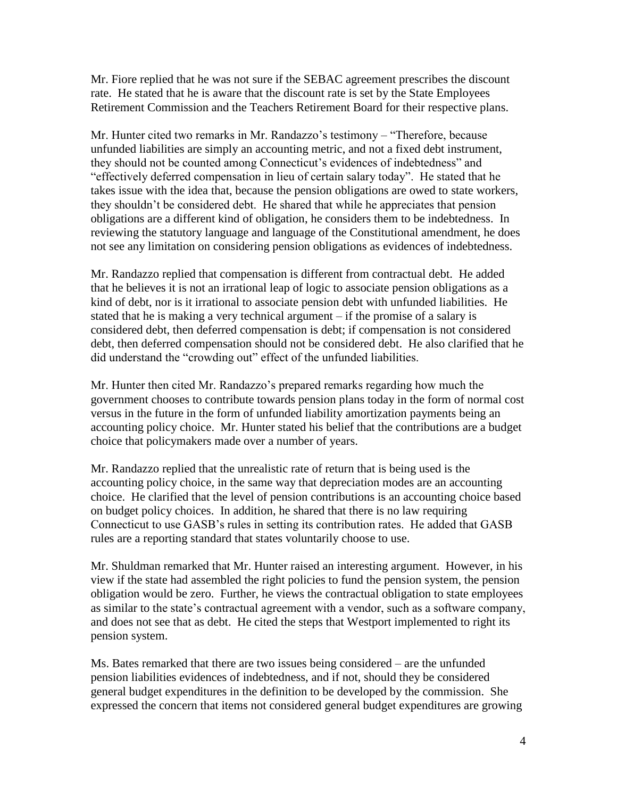Mr. Fiore replied that he was not sure if the SEBAC agreement prescribes the discount rate. He stated that he is aware that the discount rate is set by the State Employees Retirement Commission and the Teachers Retirement Board for their respective plans.

Mr. Hunter cited two remarks in Mr. Randazzo's testimony – "Therefore, because unfunded liabilities are simply an accounting metric, and not a fixed debt instrument, they should not be counted among Connecticut's evidences of indebtedness" and "effectively deferred compensation in lieu of certain salary today". He stated that he takes issue with the idea that, because the pension obligations are owed to state workers, they shouldn't be considered debt. He shared that while he appreciates that pension obligations are a different kind of obligation, he considers them to be indebtedness. In reviewing the statutory language and language of the Constitutional amendment, he does not see any limitation on considering pension obligations as evidences of indebtedness.

Mr. Randazzo replied that compensation is different from contractual debt. He added that he believes it is not an irrational leap of logic to associate pension obligations as a kind of debt, nor is it irrational to associate pension debt with unfunded liabilities. He stated that he is making a very technical argument – if the promise of a salary is considered debt, then deferred compensation is debt; if compensation is not considered debt, then deferred compensation should not be considered debt. He also clarified that he did understand the "crowding out" effect of the unfunded liabilities.

Mr. Hunter then cited Mr. Randazzo's prepared remarks regarding how much the government chooses to contribute towards pension plans today in the form of normal cost versus in the future in the form of unfunded liability amortization payments being an accounting policy choice. Mr. Hunter stated his belief that the contributions are a budget choice that policymakers made over a number of years.

Mr. Randazzo replied that the unrealistic rate of return that is being used is the accounting policy choice, in the same way that depreciation modes are an accounting choice. He clarified that the level of pension contributions is an accounting choice based on budget policy choices. In addition, he shared that there is no law requiring Connecticut to use GASB's rules in setting its contribution rates. He added that GASB rules are a reporting standard that states voluntarily choose to use.

Mr. Shuldman remarked that Mr. Hunter raised an interesting argument. However, in his view if the state had assembled the right policies to fund the pension system, the pension obligation would be zero. Further, he views the contractual obligation to state employees as similar to the state's contractual agreement with a vendor, such as a software company, and does not see that as debt. He cited the steps that Westport implemented to right its pension system.

Ms. Bates remarked that there are two issues being considered – are the unfunded pension liabilities evidences of indebtedness, and if not, should they be considered general budget expenditures in the definition to be developed by the commission. She expressed the concern that items not considered general budget expenditures are growing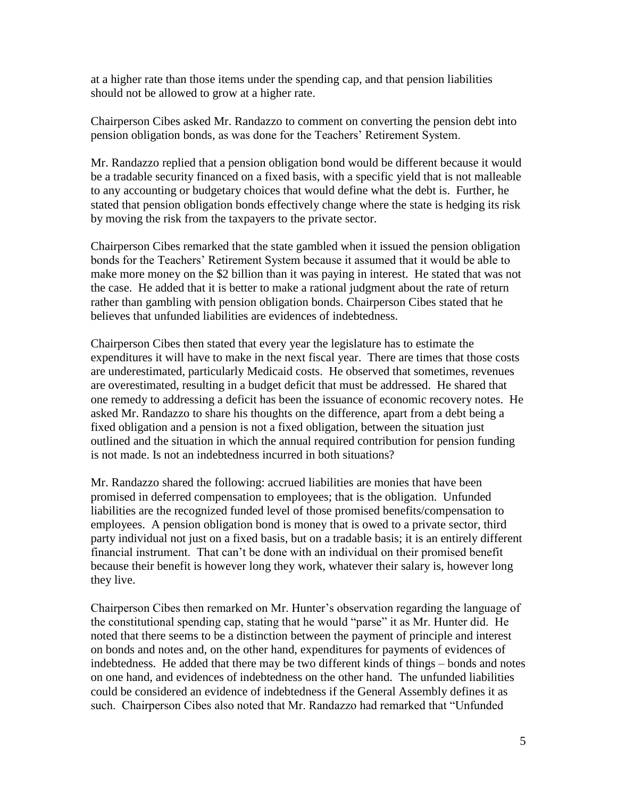at a higher rate than those items under the spending cap, and that pension liabilities should not be allowed to grow at a higher rate.

Chairperson Cibes asked Mr. Randazzo to comment on converting the pension debt into pension obligation bonds, as was done for the Teachers' Retirement System.

Mr. Randazzo replied that a pension obligation bond would be different because it would be a tradable security financed on a fixed basis, with a specific yield that is not malleable to any accounting or budgetary choices that would define what the debt is. Further, he stated that pension obligation bonds effectively change where the state is hedging its risk by moving the risk from the taxpayers to the private sector.

Chairperson Cibes remarked that the state gambled when it issued the pension obligation bonds for the Teachers' Retirement System because it assumed that it would be able to make more money on the \$2 billion than it was paying in interest. He stated that was not the case. He added that it is better to make a rational judgment about the rate of return rather than gambling with pension obligation bonds. Chairperson Cibes stated that he believes that unfunded liabilities are evidences of indebtedness.

Chairperson Cibes then stated that every year the legislature has to estimate the expenditures it will have to make in the next fiscal year. There are times that those costs are underestimated, particularly Medicaid costs. He observed that sometimes, revenues are overestimated, resulting in a budget deficit that must be addressed. He shared that one remedy to addressing a deficit has been the issuance of economic recovery notes. He asked Mr. Randazzo to share his thoughts on the difference, apart from a debt being a fixed obligation and a pension is not a fixed obligation, between the situation just outlined and the situation in which the annual required contribution for pension funding is not made. Is not an indebtedness incurred in both situations?

Mr. Randazzo shared the following: accrued liabilities are monies that have been promised in deferred compensation to employees; that is the obligation. Unfunded liabilities are the recognized funded level of those promised benefits/compensation to employees. A pension obligation bond is money that is owed to a private sector, third party individual not just on a fixed basis, but on a tradable basis; it is an entirely different financial instrument. That can't be done with an individual on their promised benefit because their benefit is however long they work, whatever their salary is, however long they live.

Chairperson Cibes then remarked on Mr. Hunter's observation regarding the language of the constitutional spending cap, stating that he would "parse" it as Mr. Hunter did. He noted that there seems to be a distinction between the payment of principle and interest on bonds and notes and, on the other hand, expenditures for payments of evidences of indebtedness. He added that there may be two different kinds of things – bonds and notes on one hand, and evidences of indebtedness on the other hand. The unfunded liabilities could be considered an evidence of indebtedness if the General Assembly defines it as such. Chairperson Cibes also noted that Mr. Randazzo had remarked that "Unfunded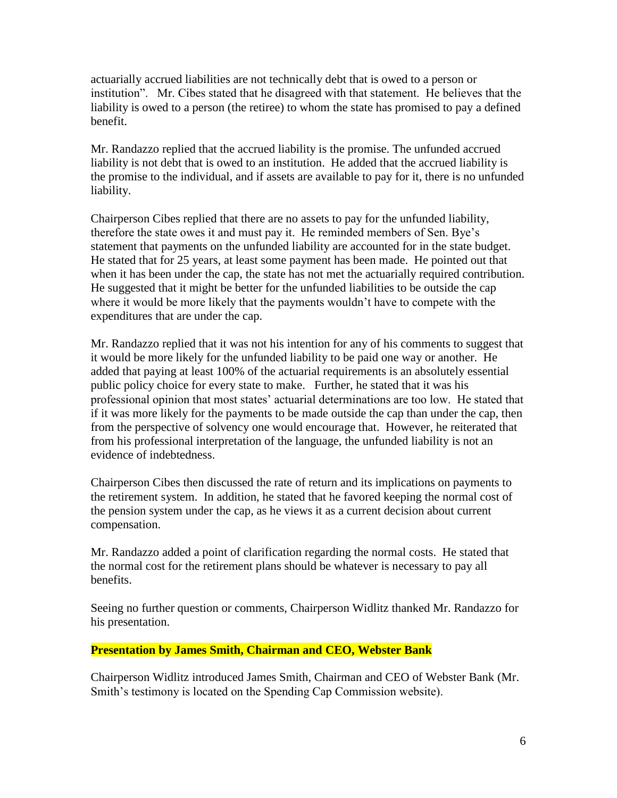actuarially accrued liabilities are not technically debt that is owed to a person or institution". Mr. Cibes stated that he disagreed with that statement. He believes that the liability is owed to a person (the retiree) to whom the state has promised to pay a defined benefit.

Mr. Randazzo replied that the accrued liability is the promise. The unfunded accrued liability is not debt that is owed to an institution. He added that the accrued liability is the promise to the individual, and if assets are available to pay for it, there is no unfunded liability.

Chairperson Cibes replied that there are no assets to pay for the unfunded liability, therefore the state owes it and must pay it. He reminded members of Sen. Bye's statement that payments on the unfunded liability are accounted for in the state budget. He stated that for 25 years, at least some payment has been made. He pointed out that when it has been under the cap, the state has not met the actuarially required contribution. He suggested that it might be better for the unfunded liabilities to be outside the cap where it would be more likely that the payments wouldn't have to compete with the expenditures that are under the cap.

Mr. Randazzo replied that it was not his intention for any of his comments to suggest that it would be more likely for the unfunded liability to be paid one way or another. He added that paying at least 100% of the actuarial requirements is an absolutely essential public policy choice for every state to make. Further, he stated that it was his professional opinion that most states' actuarial determinations are too low. He stated that if it was more likely for the payments to be made outside the cap than under the cap, then from the perspective of solvency one would encourage that. However, he reiterated that from his professional interpretation of the language, the unfunded liability is not an evidence of indebtedness.

Chairperson Cibes then discussed the rate of return and its implications on payments to the retirement system. In addition, he stated that he favored keeping the normal cost of the pension system under the cap, as he views it as a current decision about current compensation.

Mr. Randazzo added a point of clarification regarding the normal costs. He stated that the normal cost for the retirement plans should be whatever is necessary to pay all benefits.

Seeing no further question or comments, Chairperson Widlitz thanked Mr. Randazzo for his presentation.

# **Presentation by James Smith, Chairman and CEO, Webster Bank**

Chairperson Widlitz introduced James Smith, Chairman and CEO of Webster Bank (Mr. Smith's testimony is located on the Spending Cap Commission website).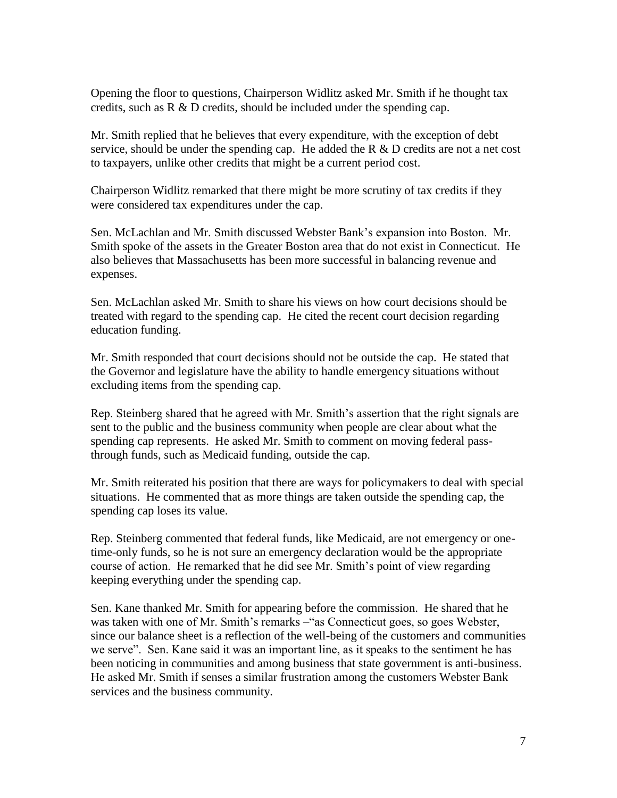Opening the floor to questions, Chairperson Widlitz asked Mr. Smith if he thought tax credits, such as R & D credits, should be included under the spending cap.

Mr. Smith replied that he believes that every expenditure, with the exception of debt service, should be under the spending cap. He added the  $R \& D$  credits are not a net cost to taxpayers, unlike other credits that might be a current period cost.

Chairperson Widlitz remarked that there might be more scrutiny of tax credits if they were considered tax expenditures under the cap.

Sen. McLachlan and Mr. Smith discussed Webster Bank's expansion into Boston. Mr. Smith spoke of the assets in the Greater Boston area that do not exist in Connecticut. He also believes that Massachusetts has been more successful in balancing revenue and expenses.

Sen. McLachlan asked Mr. Smith to share his views on how court decisions should be treated with regard to the spending cap. He cited the recent court decision regarding education funding.

Mr. Smith responded that court decisions should not be outside the cap. He stated that the Governor and legislature have the ability to handle emergency situations without excluding items from the spending cap.

Rep. Steinberg shared that he agreed with Mr. Smith's assertion that the right signals are sent to the public and the business community when people are clear about what the spending cap represents. He asked Mr. Smith to comment on moving federal passthrough funds, such as Medicaid funding, outside the cap.

Mr. Smith reiterated his position that there are ways for policymakers to deal with special situations. He commented that as more things are taken outside the spending cap, the spending cap loses its value.

Rep. Steinberg commented that federal funds, like Medicaid, are not emergency or onetime-only funds, so he is not sure an emergency declaration would be the appropriate course of action. He remarked that he did see Mr. Smith's point of view regarding keeping everything under the spending cap.

Sen. Kane thanked Mr. Smith for appearing before the commission. He shared that he was taken with one of Mr. Smith's remarks –"as Connecticut goes, so goes Webster, since our balance sheet is a reflection of the well-being of the customers and communities we serve". Sen. Kane said it was an important line, as it speaks to the sentiment he has been noticing in communities and among business that state government is anti-business. He asked Mr. Smith if senses a similar frustration among the customers Webster Bank services and the business community.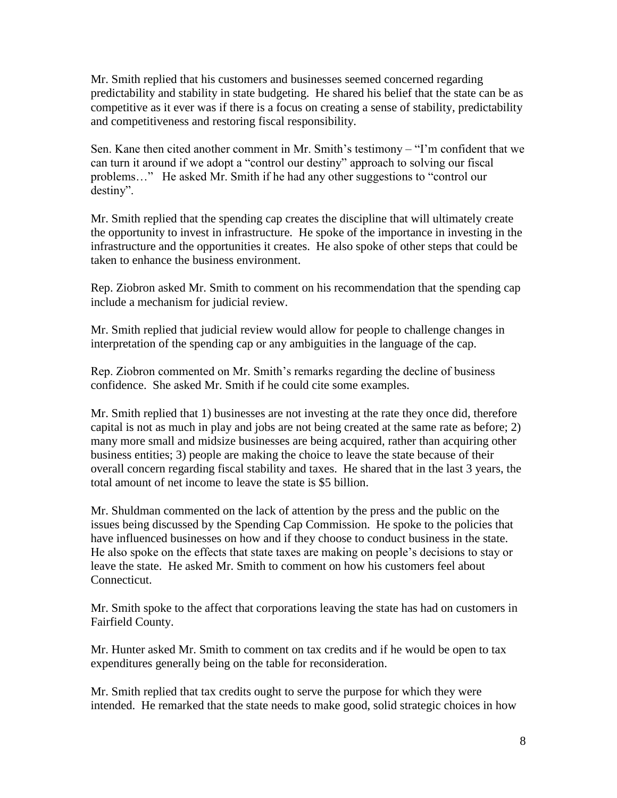Mr. Smith replied that his customers and businesses seemed concerned regarding predictability and stability in state budgeting. He shared his belief that the state can be as competitive as it ever was if there is a focus on creating a sense of stability, predictability and competitiveness and restoring fiscal responsibility.

Sen. Kane then cited another comment in Mr. Smith's testimony – "I'm confident that we can turn it around if we adopt a "control our destiny" approach to solving our fiscal problems…" He asked Mr. Smith if he had any other suggestions to "control our destiny".

Mr. Smith replied that the spending cap creates the discipline that will ultimately create the opportunity to invest in infrastructure. He spoke of the importance in investing in the infrastructure and the opportunities it creates. He also spoke of other steps that could be taken to enhance the business environment.

Rep. Ziobron asked Mr. Smith to comment on his recommendation that the spending cap include a mechanism for judicial review.

Mr. Smith replied that judicial review would allow for people to challenge changes in interpretation of the spending cap or any ambiguities in the language of the cap.

Rep. Ziobron commented on Mr. Smith's remarks regarding the decline of business confidence. She asked Mr. Smith if he could cite some examples.

Mr. Smith replied that 1) businesses are not investing at the rate they once did, therefore capital is not as much in play and jobs are not being created at the same rate as before; 2) many more small and midsize businesses are being acquired, rather than acquiring other business entities; 3) people are making the choice to leave the state because of their overall concern regarding fiscal stability and taxes. He shared that in the last 3 years, the total amount of net income to leave the state is \$5 billion.

Mr. Shuldman commented on the lack of attention by the press and the public on the issues being discussed by the Spending Cap Commission. He spoke to the policies that have influenced businesses on how and if they choose to conduct business in the state. He also spoke on the effects that state taxes are making on people's decisions to stay or leave the state. He asked Mr. Smith to comment on how his customers feel about Connecticut.

Mr. Smith spoke to the affect that corporations leaving the state has had on customers in Fairfield County.

Mr. Hunter asked Mr. Smith to comment on tax credits and if he would be open to tax expenditures generally being on the table for reconsideration.

Mr. Smith replied that tax credits ought to serve the purpose for which they were intended. He remarked that the state needs to make good, solid strategic choices in how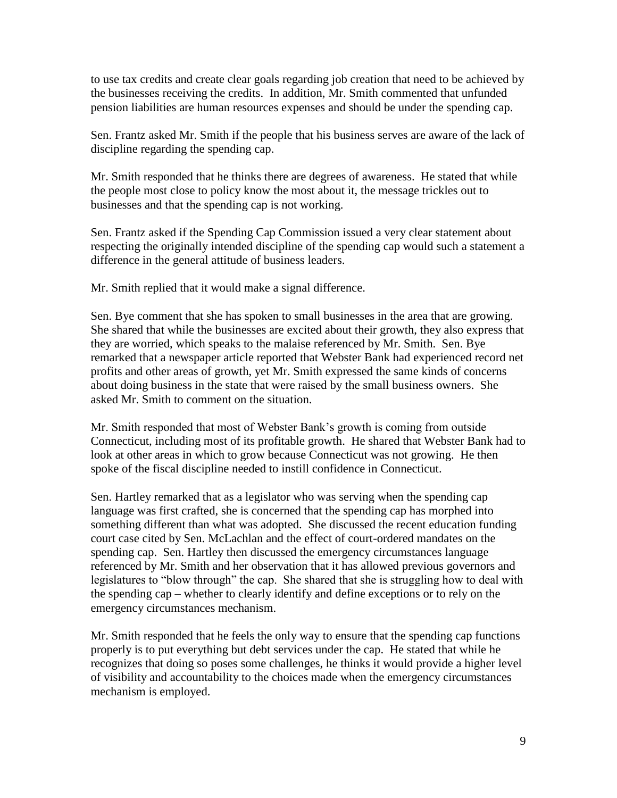to use tax credits and create clear goals regarding job creation that need to be achieved by the businesses receiving the credits. In addition, Mr. Smith commented that unfunded pension liabilities are human resources expenses and should be under the spending cap.

Sen. Frantz asked Mr. Smith if the people that his business serves are aware of the lack of discipline regarding the spending cap.

Mr. Smith responded that he thinks there are degrees of awareness. He stated that while the people most close to policy know the most about it, the message trickles out to businesses and that the spending cap is not working.

Sen. Frantz asked if the Spending Cap Commission issued a very clear statement about respecting the originally intended discipline of the spending cap would such a statement a difference in the general attitude of business leaders.

Mr. Smith replied that it would make a signal difference.

Sen. Bye comment that she has spoken to small businesses in the area that are growing. She shared that while the businesses are excited about their growth, they also express that they are worried, which speaks to the malaise referenced by Mr. Smith. Sen. Bye remarked that a newspaper article reported that Webster Bank had experienced record net profits and other areas of growth, yet Mr. Smith expressed the same kinds of concerns about doing business in the state that were raised by the small business owners. She asked Mr. Smith to comment on the situation.

Mr. Smith responded that most of Webster Bank's growth is coming from outside Connecticut, including most of its profitable growth. He shared that Webster Bank had to look at other areas in which to grow because Connecticut was not growing. He then spoke of the fiscal discipline needed to instill confidence in Connecticut.

Sen. Hartley remarked that as a legislator who was serving when the spending cap language was first crafted, she is concerned that the spending cap has morphed into something different than what was adopted. She discussed the recent education funding court case cited by Sen. McLachlan and the effect of court-ordered mandates on the spending cap. Sen. Hartley then discussed the emergency circumstances language referenced by Mr. Smith and her observation that it has allowed previous governors and legislatures to "blow through" the cap. She shared that she is struggling how to deal with the spending cap – whether to clearly identify and define exceptions or to rely on the emergency circumstances mechanism.

Mr. Smith responded that he feels the only way to ensure that the spending cap functions properly is to put everything but debt services under the cap. He stated that while he recognizes that doing so poses some challenges, he thinks it would provide a higher level of visibility and accountability to the choices made when the emergency circumstances mechanism is employed.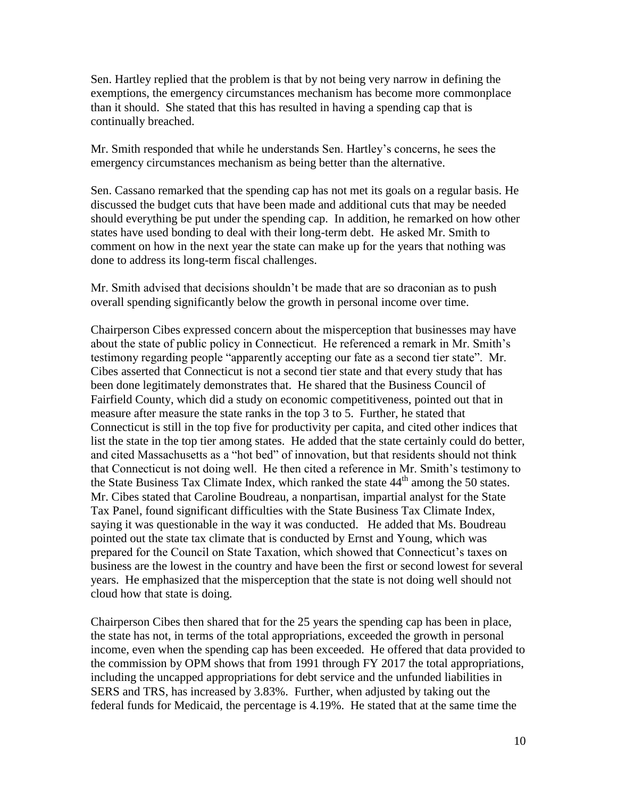Sen. Hartley replied that the problem is that by not being very narrow in defining the exemptions, the emergency circumstances mechanism has become more commonplace than it should. She stated that this has resulted in having a spending cap that is continually breached.

Mr. Smith responded that while he understands Sen. Hartley's concerns, he sees the emergency circumstances mechanism as being better than the alternative.

Sen. Cassano remarked that the spending cap has not met its goals on a regular basis. He discussed the budget cuts that have been made and additional cuts that may be needed should everything be put under the spending cap. In addition, he remarked on how other states have used bonding to deal with their long-term debt. He asked Mr. Smith to comment on how in the next year the state can make up for the years that nothing was done to address its long-term fiscal challenges.

Mr. Smith advised that decisions shouldn't be made that are so draconian as to push overall spending significantly below the growth in personal income over time.

Chairperson Cibes expressed concern about the misperception that businesses may have about the state of public policy in Connecticut. He referenced a remark in Mr. Smith's testimony regarding people "apparently accepting our fate as a second tier state". Mr. Cibes asserted that Connecticut is not a second tier state and that every study that has been done legitimately demonstrates that. He shared that the Business Council of Fairfield County, which did a study on economic competitiveness, pointed out that in measure after measure the state ranks in the top 3 to 5. Further, he stated that Connecticut is still in the top five for productivity per capita, and cited other indices that list the state in the top tier among states. He added that the state certainly could do better, and cited Massachusetts as a "hot bed" of innovation, but that residents should not think that Connecticut is not doing well. He then cited a reference in Mr. Smith's testimony to the State Business Tax Climate Index, which ranked the state 44<sup>th</sup> among the 50 states. Mr. Cibes stated that Caroline Boudreau, a nonpartisan, impartial analyst for the State Tax Panel, found significant difficulties with the State Business Tax Climate Index, saying it was questionable in the way it was conducted. He added that Ms. Boudreau pointed out the state tax climate that is conducted by Ernst and Young, which was prepared for the Council on State Taxation, which showed that Connecticut's taxes on business are the lowest in the country and have been the first or second lowest for several years. He emphasized that the misperception that the state is not doing well should not cloud how that state is doing.

Chairperson Cibes then shared that for the 25 years the spending cap has been in place, the state has not, in terms of the total appropriations, exceeded the growth in personal income, even when the spending cap has been exceeded. He offered that data provided to the commission by OPM shows that from 1991 through FY 2017 the total appropriations, including the uncapped appropriations for debt service and the unfunded liabilities in SERS and TRS, has increased by 3.83%. Further, when adjusted by taking out the federal funds for Medicaid, the percentage is 4.19%. He stated that at the same time the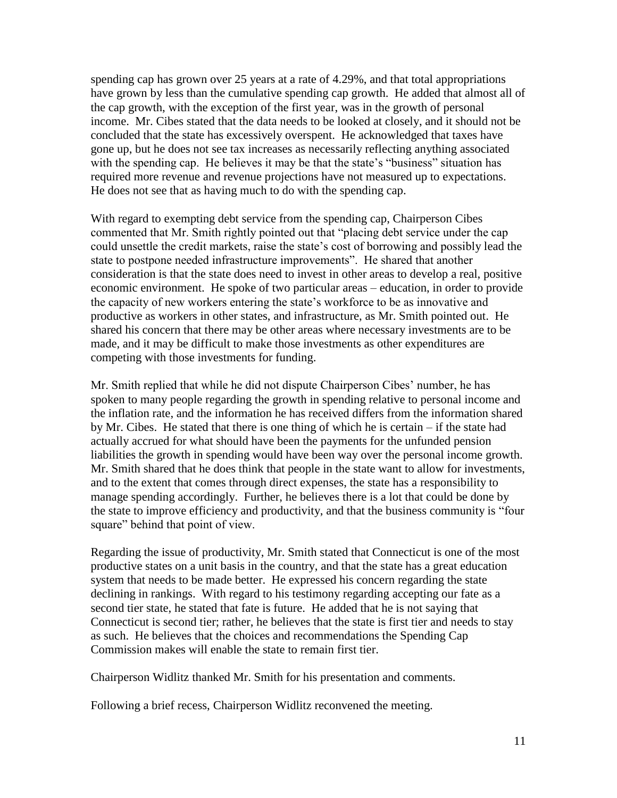spending cap has grown over 25 years at a rate of 4.29%, and that total appropriations have grown by less than the cumulative spending cap growth. He added that almost all of the cap growth, with the exception of the first year, was in the growth of personal income. Mr. Cibes stated that the data needs to be looked at closely, and it should not be concluded that the state has excessively overspent. He acknowledged that taxes have gone up, but he does not see tax increases as necessarily reflecting anything associated with the spending cap. He believes it may be that the state's "business" situation has required more revenue and revenue projections have not measured up to expectations. He does not see that as having much to do with the spending cap.

With regard to exempting debt service from the spending cap, Chairperson Cibes commented that Mr. Smith rightly pointed out that "placing debt service under the cap could unsettle the credit markets, raise the state's cost of borrowing and possibly lead the state to postpone needed infrastructure improvements". He shared that another consideration is that the state does need to invest in other areas to develop a real, positive economic environment. He spoke of two particular areas – education, in order to provide the capacity of new workers entering the state's workforce to be as innovative and productive as workers in other states, and infrastructure, as Mr. Smith pointed out. He shared his concern that there may be other areas where necessary investments are to be made, and it may be difficult to make those investments as other expenditures are competing with those investments for funding.

Mr. Smith replied that while he did not dispute Chairperson Cibes' number, he has spoken to many people regarding the growth in spending relative to personal income and the inflation rate, and the information he has received differs from the information shared by Mr. Cibes. He stated that there is one thing of which he is certain – if the state had actually accrued for what should have been the payments for the unfunded pension liabilities the growth in spending would have been way over the personal income growth. Mr. Smith shared that he does think that people in the state want to allow for investments, and to the extent that comes through direct expenses, the state has a responsibility to manage spending accordingly. Further, he believes there is a lot that could be done by the state to improve efficiency and productivity, and that the business community is "four square" behind that point of view.

Regarding the issue of productivity, Mr. Smith stated that Connecticut is one of the most productive states on a unit basis in the country, and that the state has a great education system that needs to be made better. He expressed his concern regarding the state declining in rankings. With regard to his testimony regarding accepting our fate as a second tier state, he stated that fate is future. He added that he is not saying that Connecticut is second tier; rather, he believes that the state is first tier and needs to stay as such. He believes that the choices and recommendations the Spending Cap Commission makes will enable the state to remain first tier.

Chairperson Widlitz thanked Mr. Smith for his presentation and comments.

Following a brief recess, Chairperson Widlitz reconvened the meeting.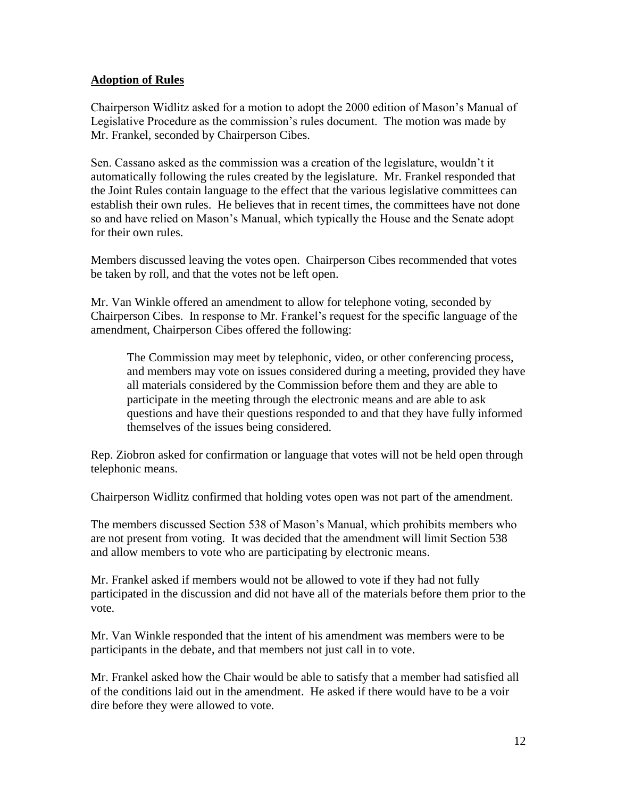# **Adoption of Rules**

Chairperson Widlitz asked for a motion to adopt the 2000 edition of Mason's Manual of Legislative Procedure as the commission's rules document. The motion was made by Mr. Frankel, seconded by Chairperson Cibes.

Sen. Cassano asked as the commission was a creation of the legislature, wouldn't it automatically following the rules created by the legislature. Mr. Frankel responded that the Joint Rules contain language to the effect that the various legislative committees can establish their own rules. He believes that in recent times, the committees have not done so and have relied on Mason's Manual, which typically the House and the Senate adopt for their own rules.

Members discussed leaving the votes open. Chairperson Cibes recommended that votes be taken by roll, and that the votes not be left open.

Mr. Van Winkle offered an amendment to allow for telephone voting, seconded by Chairperson Cibes. In response to Mr. Frankel's request for the specific language of the amendment, Chairperson Cibes offered the following:

The Commission may meet by telephonic, video, or other conferencing process, and members may vote on issues considered during a meeting, provided they have all materials considered by the Commission before them and they are able to participate in the meeting through the electronic means and are able to ask questions and have their questions responded to and that they have fully informed themselves of the issues being considered.

Rep. Ziobron asked for confirmation or language that votes will not be held open through telephonic means.

Chairperson Widlitz confirmed that holding votes open was not part of the amendment.

The members discussed Section 538 of Mason's Manual, which prohibits members who are not present from voting. It was decided that the amendment will limit Section 538 and allow members to vote who are participating by electronic means.

Mr. Frankel asked if members would not be allowed to vote if they had not fully participated in the discussion and did not have all of the materials before them prior to the vote.

Mr. Van Winkle responded that the intent of his amendment was members were to be participants in the debate, and that members not just call in to vote.

Mr. Frankel asked how the Chair would be able to satisfy that a member had satisfied all of the conditions laid out in the amendment. He asked if there would have to be a voir dire before they were allowed to vote.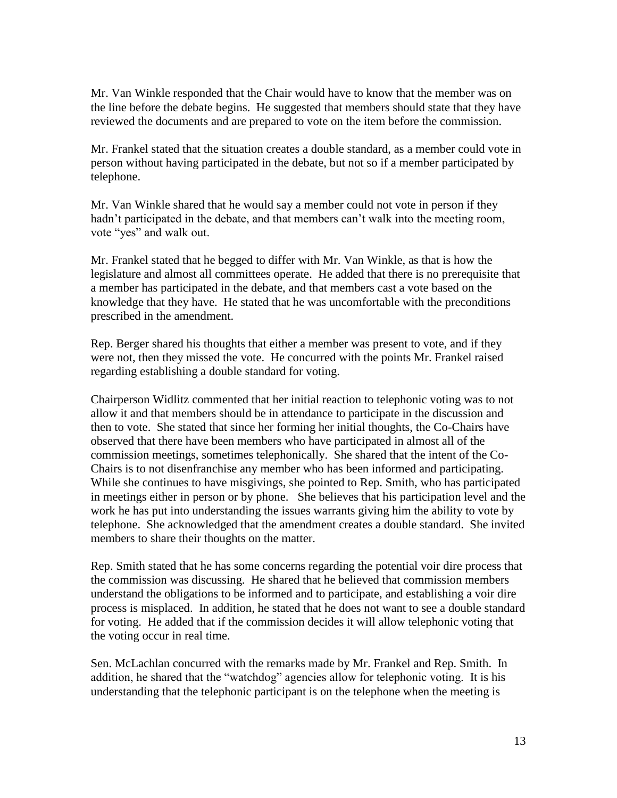Mr. Van Winkle responded that the Chair would have to know that the member was on the line before the debate begins. He suggested that members should state that they have reviewed the documents and are prepared to vote on the item before the commission.

Mr. Frankel stated that the situation creates a double standard, as a member could vote in person without having participated in the debate, but not so if a member participated by telephone.

Mr. Van Winkle shared that he would say a member could not vote in person if they hadn't participated in the debate, and that members can't walk into the meeting room, vote "yes" and walk out.

Mr. Frankel stated that he begged to differ with Mr. Van Winkle, as that is how the legislature and almost all committees operate. He added that there is no prerequisite that a member has participated in the debate, and that members cast a vote based on the knowledge that they have. He stated that he was uncomfortable with the preconditions prescribed in the amendment.

Rep. Berger shared his thoughts that either a member was present to vote, and if they were not, then they missed the vote. He concurred with the points Mr. Frankel raised regarding establishing a double standard for voting.

Chairperson Widlitz commented that her initial reaction to telephonic voting was to not allow it and that members should be in attendance to participate in the discussion and then to vote. She stated that since her forming her initial thoughts, the Co-Chairs have observed that there have been members who have participated in almost all of the commission meetings, sometimes telephonically. She shared that the intent of the Co-Chairs is to not disenfranchise any member who has been informed and participating. While she continues to have misgivings, she pointed to Rep. Smith, who has participated in meetings either in person or by phone. She believes that his participation level and the work he has put into understanding the issues warrants giving him the ability to vote by telephone. She acknowledged that the amendment creates a double standard. She invited members to share their thoughts on the matter.

Rep. Smith stated that he has some concerns regarding the potential voir dire process that the commission was discussing. He shared that he believed that commission members understand the obligations to be informed and to participate, and establishing a voir dire process is misplaced. In addition, he stated that he does not want to see a double standard for voting. He added that if the commission decides it will allow telephonic voting that the voting occur in real time.

Sen. McLachlan concurred with the remarks made by Mr. Frankel and Rep. Smith. In addition, he shared that the "watchdog" agencies allow for telephonic voting. It is his understanding that the telephonic participant is on the telephone when the meeting is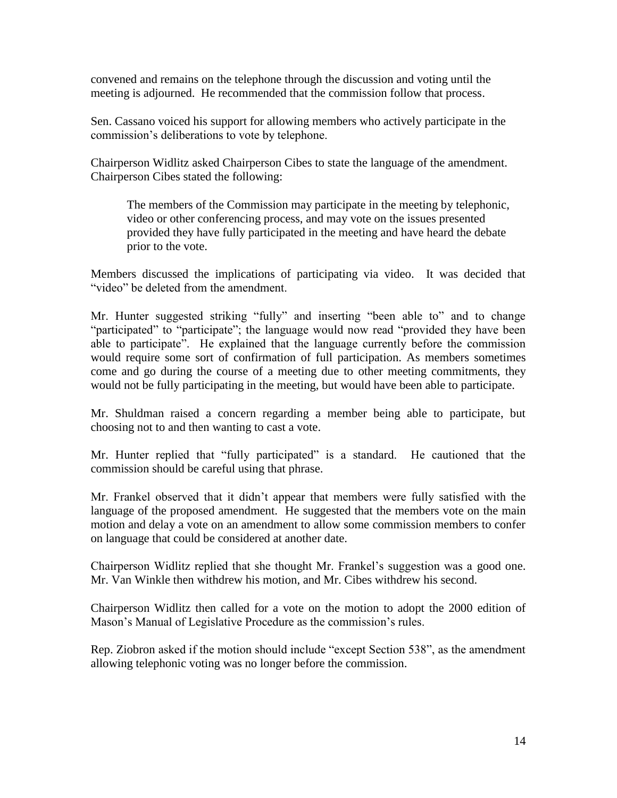convened and remains on the telephone through the discussion and voting until the meeting is adjourned. He recommended that the commission follow that process.

Sen. Cassano voiced his support for allowing members who actively participate in the commission's deliberations to vote by telephone.

Chairperson Widlitz asked Chairperson Cibes to state the language of the amendment. Chairperson Cibes stated the following:

The members of the Commission may participate in the meeting by telephonic, video or other conferencing process, and may vote on the issues presented provided they have fully participated in the meeting and have heard the debate prior to the vote.

Members discussed the implications of participating via video. It was decided that "video" be deleted from the amendment.

Mr. Hunter suggested striking "fully" and inserting "been able to" and to change "participated" to "participate"; the language would now read "provided they have been able to participate". He explained that the language currently before the commission would require some sort of confirmation of full participation. As members sometimes come and go during the course of a meeting due to other meeting commitments, they would not be fully participating in the meeting, but would have been able to participate.

Mr. Shuldman raised a concern regarding a member being able to participate, but choosing not to and then wanting to cast a vote.

Mr. Hunter replied that "fully participated" is a standard. He cautioned that the commission should be careful using that phrase.

Mr. Frankel observed that it didn't appear that members were fully satisfied with the language of the proposed amendment. He suggested that the members vote on the main motion and delay a vote on an amendment to allow some commission members to confer on language that could be considered at another date.

Chairperson Widlitz replied that she thought Mr. Frankel's suggestion was a good one. Mr. Van Winkle then withdrew his motion, and Mr. Cibes withdrew his second.

Chairperson Widlitz then called for a vote on the motion to adopt the 2000 edition of Mason's Manual of Legislative Procedure as the commission's rules.

Rep. Ziobron asked if the motion should include "except Section 538", as the amendment allowing telephonic voting was no longer before the commission.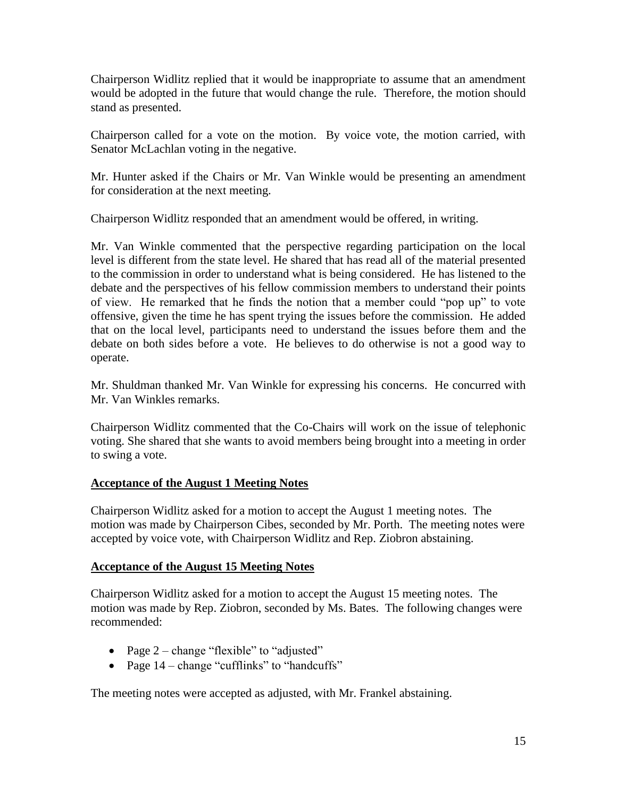Chairperson Widlitz replied that it would be inappropriate to assume that an amendment would be adopted in the future that would change the rule. Therefore, the motion should stand as presented.

Chairperson called for a vote on the motion. By voice vote, the motion carried, with Senator McLachlan voting in the negative.

Mr. Hunter asked if the Chairs or Mr. Van Winkle would be presenting an amendment for consideration at the next meeting.

Chairperson Widlitz responded that an amendment would be offered, in writing.

Mr. Van Winkle commented that the perspective regarding participation on the local level is different from the state level. He shared that has read all of the material presented to the commission in order to understand what is being considered. He has listened to the debate and the perspectives of his fellow commission members to understand their points of view. He remarked that he finds the notion that a member could "pop up" to vote offensive, given the time he has spent trying the issues before the commission. He added that on the local level, participants need to understand the issues before them and the debate on both sides before a vote. He believes to do otherwise is not a good way to operate.

Mr. Shuldman thanked Mr. Van Winkle for expressing his concerns. He concurred with Mr. Van Winkles remarks.

Chairperson Widlitz commented that the Co-Chairs will work on the issue of telephonic voting. She shared that she wants to avoid members being brought into a meeting in order to swing a vote.

# **Acceptance of the August 1 Meeting Notes**

Chairperson Widlitz asked for a motion to accept the August 1 meeting notes. The motion was made by Chairperson Cibes, seconded by Mr. Porth. The meeting notes were accepted by voice vote, with Chairperson Widlitz and Rep. Ziobron abstaining.

# **Acceptance of the August 15 Meeting Notes**

Chairperson Widlitz asked for a motion to accept the August 15 meeting notes. The motion was made by Rep. Ziobron, seconded by Ms. Bates. The following changes were recommended:

- Page  $2$  change "flexible" to "adjusted"
- Page  $14$  change "cufflinks" to "handcuffs"

The meeting notes were accepted as adjusted, with Mr. Frankel abstaining.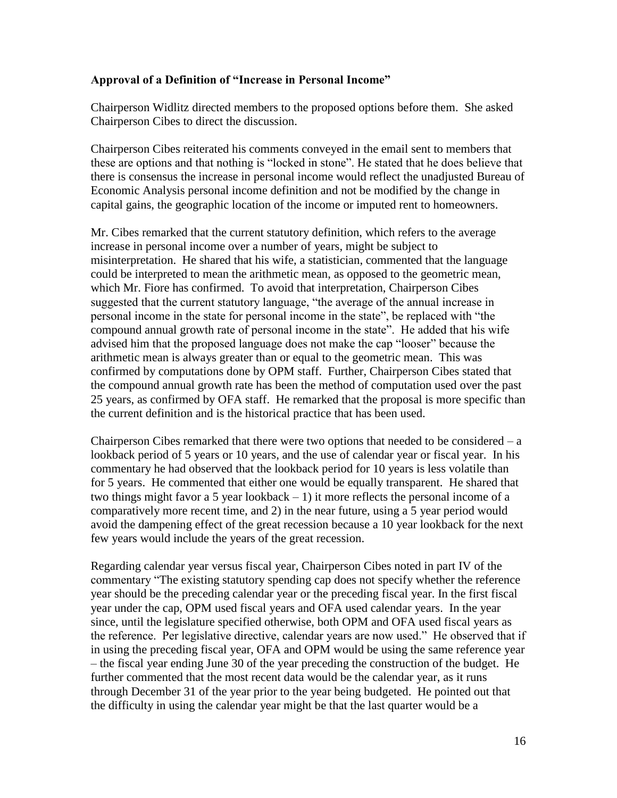#### **Approval of a Definition of "Increase in Personal Income"**

Chairperson Widlitz directed members to the proposed options before them. She asked Chairperson Cibes to direct the discussion.

Chairperson Cibes reiterated his comments conveyed in the email sent to members that these are options and that nothing is "locked in stone". He stated that he does believe that there is consensus the increase in personal income would reflect the unadjusted Bureau of Economic Analysis personal income definition and not be modified by the change in capital gains, the geographic location of the income or imputed rent to homeowners.

Mr. Cibes remarked that the current statutory definition, which refers to the average increase in personal income over a number of years, might be subject to misinterpretation. He shared that his wife, a statistician, commented that the language could be interpreted to mean the arithmetic mean, as opposed to the geometric mean, which Mr. Fiore has confirmed. To avoid that interpretation, Chairperson Cibes suggested that the current statutory language, "the average of the annual increase in personal income in the state for personal income in the state", be replaced with "the compound annual growth rate of personal income in the state". He added that his wife advised him that the proposed language does not make the cap "looser" because the arithmetic mean is always greater than or equal to the geometric mean. This was confirmed by computations done by OPM staff. Further, Chairperson Cibes stated that the compound annual growth rate has been the method of computation used over the past 25 years, as confirmed by OFA staff. He remarked that the proposal is more specific than the current definition and is the historical practice that has been used.

Chairperson Cibes remarked that there were two options that needed to be considered  $- a$ lookback period of 5 years or 10 years, and the use of calendar year or fiscal year. In his commentary he had observed that the lookback period for 10 years is less volatile than for 5 years. He commented that either one would be equally transparent. He shared that two things might favor a 5 year lookback  $-1$ ) it more reflects the personal income of a comparatively more recent time, and 2) in the near future, using a 5 year period would avoid the dampening effect of the great recession because a 10 year lookback for the next few years would include the years of the great recession.

Regarding calendar year versus fiscal year, Chairperson Cibes noted in part IV of the commentary "The existing statutory spending cap does not specify whether the reference year should be the preceding calendar year or the preceding fiscal year. In the first fiscal year under the cap, OPM used fiscal years and OFA used calendar years. In the year since, until the legislature specified otherwise, both OPM and OFA used fiscal years as the reference. Per legislative directive, calendar years are now used." He observed that if in using the preceding fiscal year, OFA and OPM would be using the same reference year – the fiscal year ending June 30 of the year preceding the construction of the budget. He further commented that the most recent data would be the calendar year, as it runs through December 31 of the year prior to the year being budgeted. He pointed out that the difficulty in using the calendar year might be that the last quarter would be a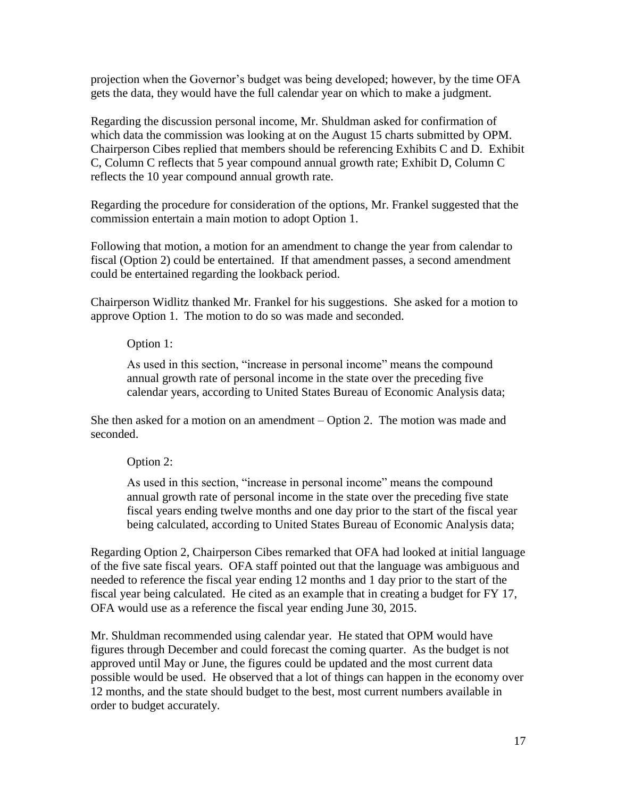projection when the Governor's budget was being developed; however, by the time OFA gets the data, they would have the full calendar year on which to make a judgment.

Regarding the discussion personal income, Mr. Shuldman asked for confirmation of which data the commission was looking at on the August 15 charts submitted by OPM. Chairperson Cibes replied that members should be referencing Exhibits C and D. Exhibit C, Column C reflects that 5 year compound annual growth rate; Exhibit D, Column C reflects the 10 year compound annual growth rate.

Regarding the procedure for consideration of the options, Mr. Frankel suggested that the commission entertain a main motion to adopt Option 1.

Following that motion, a motion for an amendment to change the year from calendar to fiscal (Option 2) could be entertained. If that amendment passes, a second amendment could be entertained regarding the lookback period.

Chairperson Widlitz thanked Mr. Frankel for his suggestions. She asked for a motion to approve Option 1. The motion to do so was made and seconded.

#### Option 1:

As used in this section, "increase in personal income" means the compound annual growth rate of personal income in the state over the preceding five calendar years, according to United States Bureau of Economic Analysis data;

She then asked for a motion on an amendment – Option 2. The motion was made and seconded.

#### Option 2:

As used in this section, "increase in personal income" means the compound annual growth rate of personal income in the state over the preceding five state fiscal years ending twelve months and one day prior to the start of the fiscal year being calculated, according to United States Bureau of Economic Analysis data;

Regarding Option 2, Chairperson Cibes remarked that OFA had looked at initial language of the five sate fiscal years. OFA staff pointed out that the language was ambiguous and needed to reference the fiscal year ending 12 months and 1 day prior to the start of the fiscal year being calculated. He cited as an example that in creating a budget for FY 17, OFA would use as a reference the fiscal year ending June 30, 2015.

Mr. Shuldman recommended using calendar year. He stated that OPM would have figures through December and could forecast the coming quarter. As the budget is not approved until May or June, the figures could be updated and the most current data possible would be used. He observed that a lot of things can happen in the economy over 12 months, and the state should budget to the best, most current numbers available in order to budget accurately.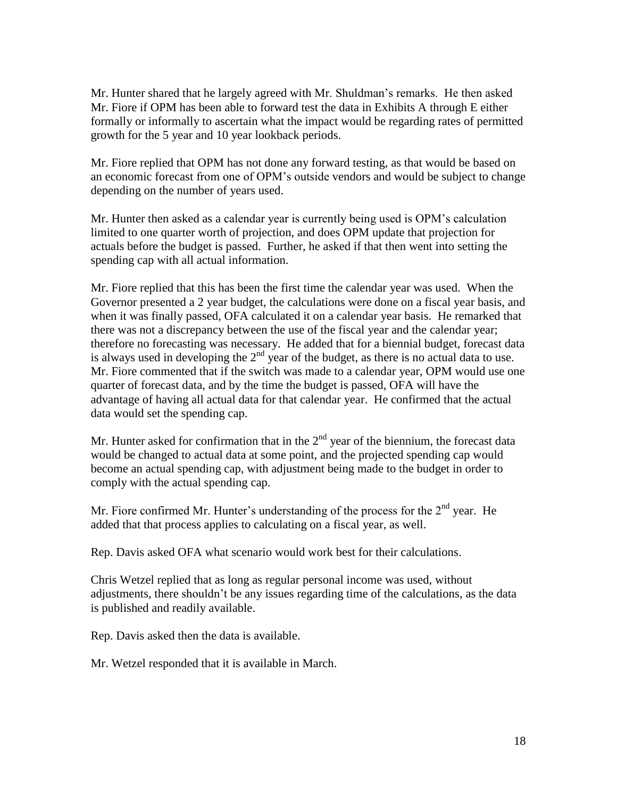Mr. Hunter shared that he largely agreed with Mr. Shuldman's remarks. He then asked Mr. Fiore if OPM has been able to forward test the data in Exhibits A through E either formally or informally to ascertain what the impact would be regarding rates of permitted growth for the 5 year and 10 year lookback periods.

Mr. Fiore replied that OPM has not done any forward testing, as that would be based on an economic forecast from one of OPM's outside vendors and would be subject to change depending on the number of years used.

Mr. Hunter then asked as a calendar year is currently being used is OPM's calculation limited to one quarter worth of projection, and does OPM update that projection for actuals before the budget is passed. Further, he asked if that then went into setting the spending cap with all actual information.

Mr. Fiore replied that this has been the first time the calendar year was used. When the Governor presented a 2 year budget, the calculations were done on a fiscal year basis, and when it was finally passed, OFA calculated it on a calendar year basis. He remarked that there was not a discrepancy between the use of the fiscal year and the calendar year; therefore no forecasting was necessary. He added that for a biennial budget, forecast data is always used in developing the  $2<sup>nd</sup>$  year of the budget, as there is no actual data to use. Mr. Fiore commented that if the switch was made to a calendar year, OPM would use one quarter of forecast data, and by the time the budget is passed, OFA will have the advantage of having all actual data for that calendar year. He confirmed that the actual data would set the spending cap.

Mr. Hunter asked for confirmation that in the  $2<sup>nd</sup>$  year of the biennium, the forecast data would be changed to actual data at some point, and the projected spending cap would become an actual spending cap, with adjustment being made to the budget in order to comply with the actual spending cap.

Mr. Fiore confirmed Mr. Hunter's understanding of the process for the  $2<sup>nd</sup>$  year. He added that that process applies to calculating on a fiscal year, as well.

Rep. Davis asked OFA what scenario would work best for their calculations.

Chris Wetzel replied that as long as regular personal income was used, without adjustments, there shouldn't be any issues regarding time of the calculations, as the data is published and readily available.

Rep. Davis asked then the data is available.

Mr. Wetzel responded that it is available in March.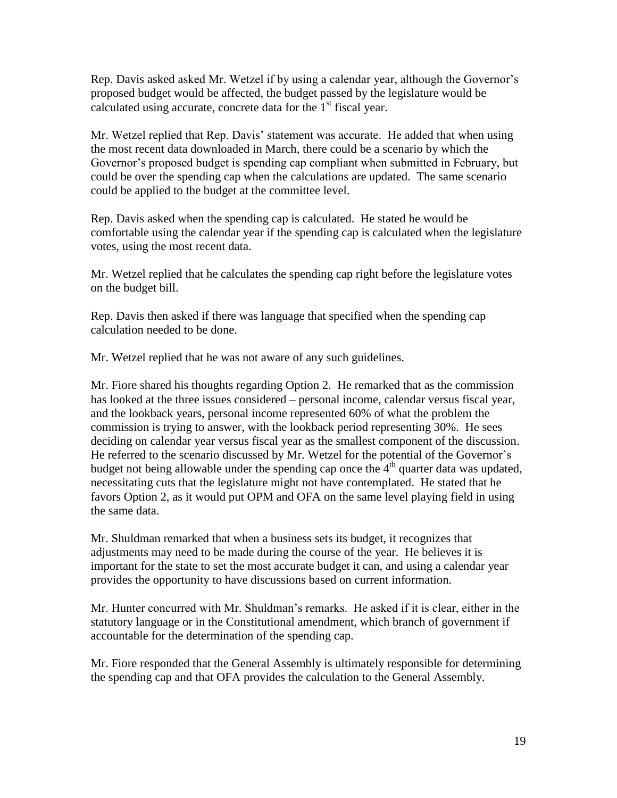Rep. Davis asked asked Mr. Wetzel if by using a calendar year, although the Governor's proposed budget would be affected, the budget passed by the legislature would be calculated using accurate, concrete data for the  $1<sup>st</sup>$  fiscal year.

Mr. Wetzel replied that Rep. Davis' statement was accurate. He added that when using the most recent data downloaded in March, there could be a scenario by which the Governor's proposed budget is spending cap compliant when submitted in February, but could be over the spending cap when the calculations are updated. The same scenario could be applied to the budget at the committee level.

Rep. Davis asked when the spending cap is calculated. He stated he would be comfortable using the calendar year if the spending cap is calculated when the legislature votes, using the most recent data.

Mr. Wetzel replied that he calculates the spending cap right before the legislature votes on the budget bill.

Rep. Davis then asked if there was language that specified when the spending cap calculation needed to be done.

Mr. Wetzel replied that he was not aware of any such guidelines.

Mr. Fiore shared his thoughts regarding Option 2. He remarked that as the commission has looked at the three issues considered – personal income, calendar versus fiscal year, and the lookback years, personal income represented 60% of what the problem the commission is trying to answer, with the lookback period representing 30%. He sees deciding on calendar year versus fiscal year as the smallest component of the discussion. He referred to the scenario discussed by Mr. Wetzel for the potential of the Governor's budget not being allowable under the spending cap once the  $4<sup>th</sup>$  quarter data was updated, necessitating cuts that the legislature might not have contemplated. He stated that he favors Option 2, as it would put OPM and OFA on the same level playing field in using the same data.

Mr. Shuldman remarked that when a business sets its budget, it recognizes that adjustments may need to be made during the course of the year. He believes it is important for the state to set the most accurate budget it can, and using a calendar year provides the opportunity to have discussions based on current information.

Mr. Hunter concurred with Mr. Shuldman's remarks. He asked if it is clear, either in the statutory language or in the Constitutional amendment, which branch of government if accountable for the determination of the spending cap.

Mr. Fiore responded that the General Assembly is ultimately responsible for determining the spending cap and that OFA provides the calculation to the General Assembly.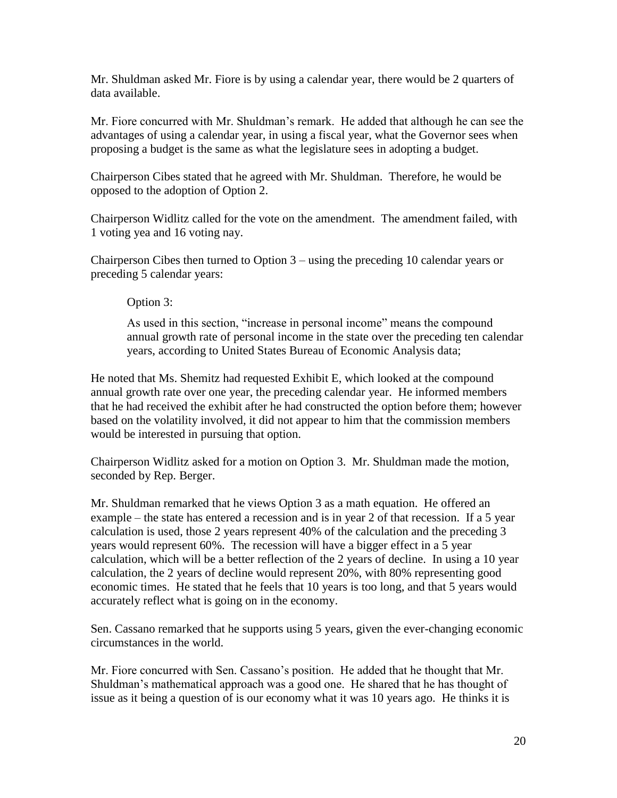Mr. Shuldman asked Mr. Fiore is by using a calendar year, there would be 2 quarters of data available.

Mr. Fiore concurred with Mr. Shuldman's remark. He added that although he can see the advantages of using a calendar year, in using a fiscal year, what the Governor sees when proposing a budget is the same as what the legislature sees in adopting a budget.

Chairperson Cibes stated that he agreed with Mr. Shuldman. Therefore, he would be opposed to the adoption of Option 2.

Chairperson Widlitz called for the vote on the amendment. The amendment failed, with 1 voting yea and 16 voting nay.

Chairperson Cibes then turned to Option 3 – using the preceding 10 calendar years or preceding 5 calendar years:

Option 3:

As used in this section, "increase in personal income" means the compound annual growth rate of personal income in the state over the preceding ten calendar years, according to United States Bureau of Economic Analysis data;

He noted that Ms. Shemitz had requested Exhibit E, which looked at the compound annual growth rate over one year, the preceding calendar year. He informed members that he had received the exhibit after he had constructed the option before them; however based on the volatility involved, it did not appear to him that the commission members would be interested in pursuing that option.

Chairperson Widlitz asked for a motion on Option 3. Mr. Shuldman made the motion, seconded by Rep. Berger.

Mr. Shuldman remarked that he views Option 3 as a math equation. He offered an example – the state has entered a recession and is in year 2 of that recession. If a 5 year calculation is used, those 2 years represent 40% of the calculation and the preceding 3 years would represent 60%. The recession will have a bigger effect in a 5 year calculation, which will be a better reflection of the 2 years of decline. In using a 10 year calculation, the 2 years of decline would represent 20%, with 80% representing good economic times. He stated that he feels that 10 years is too long, and that 5 years would accurately reflect what is going on in the economy.

Sen. Cassano remarked that he supports using 5 years, given the ever-changing economic circumstances in the world.

Mr. Fiore concurred with Sen. Cassano's position. He added that he thought that Mr. Shuldman's mathematical approach was a good one. He shared that he has thought of issue as it being a question of is our economy what it was 10 years ago. He thinks it is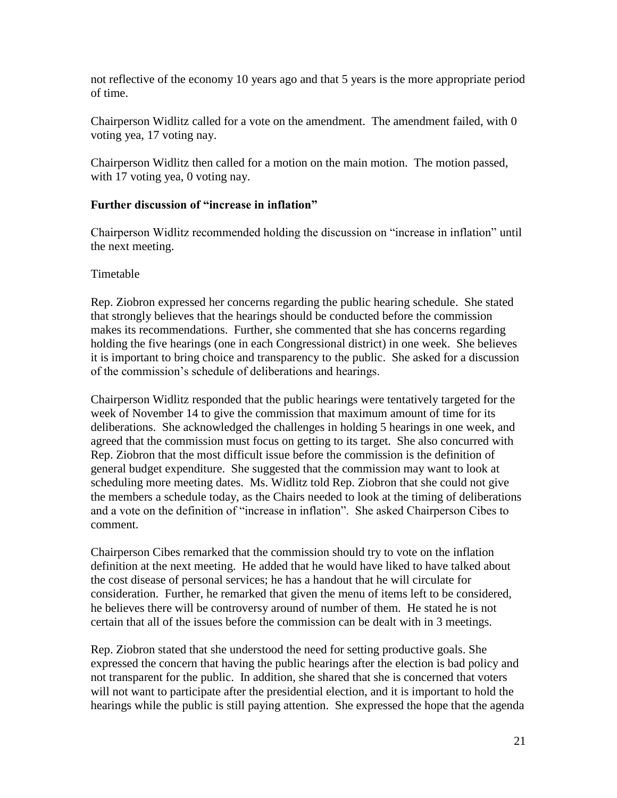not reflective of the economy 10 years ago and that 5 years is the more appropriate period of time.

Chairperson Widlitz called for a vote on the amendment. The amendment failed, with 0 voting yea, 17 voting nay.

Chairperson Widlitz then called for a motion on the main motion. The motion passed, with 17 voting yea, 0 voting nay.

# **Further discussion of "increase in inflation"**

Chairperson Widlitz recommended holding the discussion on "increase in inflation" until the next meeting.

# Timetable

Rep. Ziobron expressed her concerns regarding the public hearing schedule. She stated that strongly believes that the hearings should be conducted before the commission makes its recommendations. Further, she commented that she has concerns regarding holding the five hearings (one in each Congressional district) in one week. She believes it is important to bring choice and transparency to the public. She asked for a discussion of the commission's schedule of deliberations and hearings.

Chairperson Widlitz responded that the public hearings were tentatively targeted for the week of November 14 to give the commission that maximum amount of time for its deliberations. She acknowledged the challenges in holding 5 hearings in one week, and agreed that the commission must focus on getting to its target. She also concurred with Rep. Ziobron that the most difficult issue before the commission is the definition of general budget expenditure. She suggested that the commission may want to look at scheduling more meeting dates. Ms. Widlitz told Rep. Ziobron that she could not give the members a schedule today, as the Chairs needed to look at the timing of deliberations and a vote on the definition of "increase in inflation". She asked Chairperson Cibes to comment.

Chairperson Cibes remarked that the commission should try to vote on the inflation definition at the next meeting. He added that he would have liked to have talked about the cost disease of personal services; he has a handout that he will circulate for consideration. Further, he remarked that given the menu of items left to be considered, he believes there will be controversy around of number of them. He stated he is not certain that all of the issues before the commission can be dealt with in 3 meetings.

Rep. Ziobron stated that she understood the need for setting productive goals. She expressed the concern that having the public hearings after the election is bad policy and not transparent for the public. In addition, she shared that she is concerned that voters will not want to participate after the presidential election, and it is important to hold the hearings while the public is still paying attention. She expressed the hope that the agenda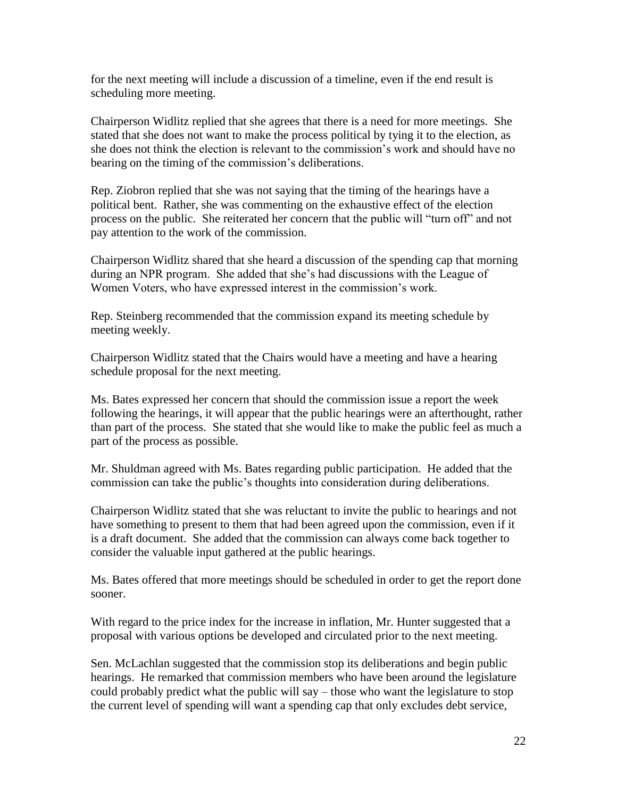for the next meeting will include a discussion of a timeline, even if the end result is scheduling more meeting.

Chairperson Widlitz replied that she agrees that there is a need for more meetings. She stated that she does not want to make the process political by tying it to the election, as she does not think the election is relevant to the commission's work and should have no bearing on the timing of the commission's deliberations.

Rep. Ziobron replied that she was not saying that the timing of the hearings have a political bent. Rather, she was commenting on the exhaustive effect of the election process on the public. She reiterated her concern that the public will "turn off" and not pay attention to the work of the commission.

Chairperson Widlitz shared that she heard a discussion of the spending cap that morning during an NPR program. She added that she's had discussions with the League of Women Voters, who have expressed interest in the commission's work.

Rep. Steinberg recommended that the commission expand its meeting schedule by meeting weekly.

Chairperson Widlitz stated that the Chairs would have a meeting and have a hearing schedule proposal for the next meeting.

Ms. Bates expressed her concern that should the commission issue a report the week following the hearings, it will appear that the public hearings were an afterthought, rather than part of the process. She stated that she would like to make the public feel as much a part of the process as possible.

Mr. Shuldman agreed with Ms. Bates regarding public participation. He added that the commission can take the public's thoughts into consideration during deliberations.

Chairperson Widlitz stated that she was reluctant to invite the public to hearings and not have something to present to them that had been agreed upon the commission, even if it is a draft document. She added that the commission can always come back together to consider the valuable input gathered at the public hearings.

Ms. Bates offered that more meetings should be scheduled in order to get the report done sooner.

With regard to the price index for the increase in inflation, Mr. Hunter suggested that a proposal with various options be developed and circulated prior to the next meeting.

Sen. McLachlan suggested that the commission stop its deliberations and begin public hearings. He remarked that commission members who have been around the legislature could probably predict what the public will say – those who want the legislature to stop the current level of spending will want a spending cap that only excludes debt service,